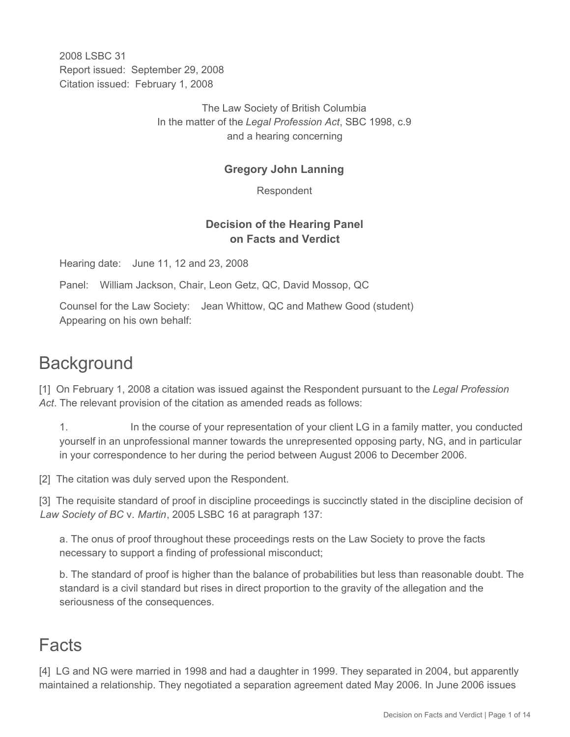2008 LSBC 31 Report issued: September 29, 2008 Citation issued: February 1, 2008

> The Law Society of British Columbia In the matter of the *Legal Profession Act*, SBC 1998, c.9 and a hearing concerning

# **Gregory John Lanning**

Respondent

# **Decision of the Hearing Panel on Facts and Verdict**

Hearing date: June 11, 12 and 23, 2008

Panel: William Jackson, Chair, Leon Getz, QC, David Mossop, QC

Counsel for the Law Society: Jean Whittow, QC and Mathew Good (student) Appearing on his own behalf:

# **Background**

[1] On February 1, 2008 a citation was issued against the Respondent pursuant to the *Legal Profession Act*. The relevant provision of the citation as amended reads as follows:

1. In the course of your representation of your client LG in a family matter, you conducted yourself in an unprofessional manner towards the unrepresented opposing party, NG, and in particular in your correspondence to her during the period between August 2006 to December 2006.

[2] The citation was duly served upon the Respondent.

[3] The requisite standard of proof in discipline proceedings is succinctly stated in the discipline decision of *Law Society of BC* v. *Martin*, 2005 LSBC 16 at paragraph 137:

a. The onus of proof throughout these proceedings rests on the Law Society to prove the facts necessary to support a finding of professional misconduct;

b. The standard of proof is higher than the balance of probabilities but less than reasonable doubt. The standard is a civil standard but rises in direct proportion to the gravity of the allegation and the seriousness of the consequences.

# Facts

[4] LG and NG were married in 1998 and had a daughter in 1999. They separated in 2004, but apparently maintained a relationship. They negotiated a separation agreement dated May 2006. In June 2006 issues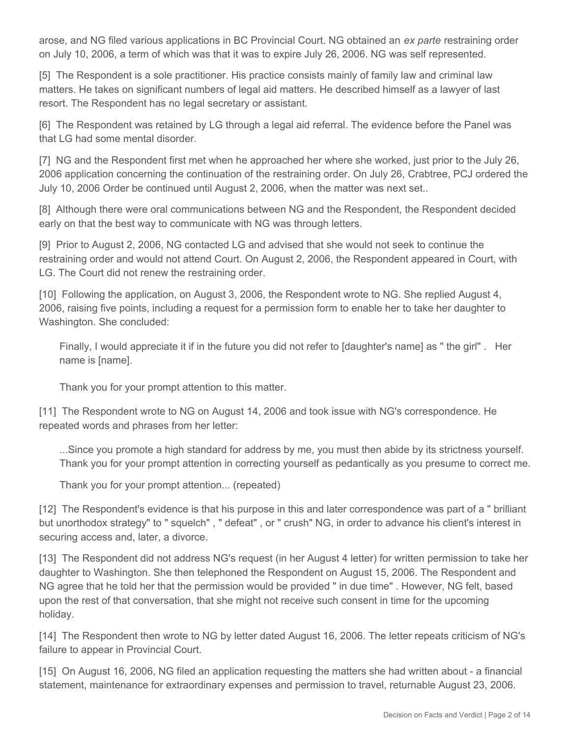arose, and NG filed various applications in BC Provincial Court. NG obtained an *ex parte* restraining order on July 10, 2006, a term of which was that it was to expire July 26, 2006. NG was self represented.

[5] The Respondent is a sole practitioner. His practice consists mainly of family law and criminal law matters. He takes on significant numbers of legal aid matters. He described himself as a lawyer of last resort. The Respondent has no legal secretary or assistant.

[6] The Respondent was retained by LG through a legal aid referral. The evidence before the Panel was that LG had some mental disorder.

[7] NG and the Respondent first met when he approached her where she worked, just prior to the July 26, 2006 application concerning the continuation of the restraining order. On July 26, Crabtree, PCJ ordered the July 10, 2006 Order be continued until August 2, 2006, when the matter was next set..

[8] Although there were oral communications between NG and the Respondent, the Respondent decided early on that the best way to communicate with NG was through letters.

[9] Prior to August 2, 2006, NG contacted LG and advised that she would not seek to continue the restraining order and would not attend Court. On August 2, 2006, the Respondent appeared in Court, with LG. The Court did not renew the restraining order.

[10] Following the application, on August 3, 2006, the Respondent wrote to NG. She replied August 4, 2006, raising five points, including a request for a permission form to enable her to take her daughter to Washington. She concluded:

Finally, I would appreciate it if in the future you did not refer to [daughter's name] as " the girl" . Her name is [name].

Thank you for your prompt attention to this matter.

[11] The Respondent wrote to NG on August 14, 2006 and took issue with NG's correspondence. He repeated words and phrases from her letter:

...Since you promote a high standard for address by me, you must then abide by its strictness yourself. Thank you for your prompt attention in correcting yourself as pedantically as you presume to correct me.

Thank you for your prompt attention... (repeated)

[12] The Respondent's evidence is that his purpose in this and later correspondence was part of a " brilliant but unorthodox strategy" to " squelch" , " defeat" , or " crush" NG, in order to advance his client's interest in securing access and, later, a divorce.

[13] The Respondent did not address NG's request (in her August 4 letter) for written permission to take her daughter to Washington. She then telephoned the Respondent on August 15, 2006. The Respondent and NG agree that he told her that the permission would be provided " in due time" . However, NG felt, based upon the rest of that conversation, that she might not receive such consent in time for the upcoming holiday.

[14] The Respondent then wrote to NG by letter dated August 16, 2006. The letter repeats criticism of NG's failure to appear in Provincial Court.

[15] On August 16, 2006, NG filed an application requesting the matters she had written about - a financial statement, maintenance for extraordinary expenses and permission to travel, returnable August 23, 2006.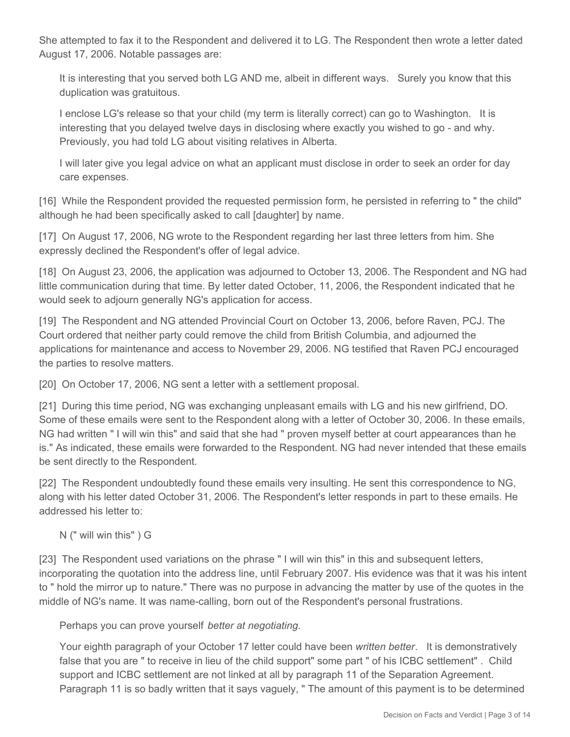She attempted to fax it to the Respondent and delivered it to LG. The Respondent then wrote a letter dated August 17, 2006. Notable passages are:

It is interesting that you served both LG AND me, albeit in different ways. Surely you know that this duplication was gratuitous.

I enclose LG's release so that your child (my term is literally correct) can go to Washington. It is interesting that you delayed twelve days in disclosing where exactly you wished to go - and why. Previously, you had told LG about visiting relatives in Alberta.

I will later give you legal advice on what an applicant must disclose in order to seek an order for day care expenses.

[16] While the Respondent provided the requested permission form, he persisted in referring to " the child" although he had been specifically asked to call [daughter] by name.

[17] On August 17, 2006, NG wrote to the Respondent regarding her last three letters from him. She expressly declined the Respondent's offer of legal advice.

[18] On August 23, 2006, the application was adjourned to October 13, 2006. The Respondent and NG had little communication during that time. By letter dated October, 11, 2006, the Respondent indicated that he would seek to adjourn generally NG's application for access.

[19] The Respondent and NG attended Provincial Court on October 13, 2006, before Raven, PCJ. The Court ordered that neither party could remove the child from British Columbia, and adjourned the applications for maintenance and access to November 29, 2006. NG testified that Raven PCJ encouraged the parties to resolve matters.

[20] On October 17, 2006, NG sent a letter with a settlement proposal.

[21] During this time period, NG was exchanging unpleasant emails with LG and his new girlfriend, DO. Some of these emails were sent to the Respondent along with a letter of October 30, 2006. In these emails, NG had written " I will win this" and said that she had " proven myself better at court appearances than he is." As indicated, these emails were forwarded to the Respondent. NG had never intended that these emails be sent directly to the Respondent.

[22] The Respondent undoubtedly found these emails very insulting. He sent this correspondence to NG, along with his letter dated October 31, 2006. The Respondent's letter responds in part to these emails. He addressed his letter to:

N (" will win this" ) G

[23] The Respondent used variations on the phrase " I will win this" in this and subsequent letters, incorporating the quotation into the address line, until February 2007. His evidence was that it was his intent to " hold the mirror up to nature." There was no purpose in advancing the matter by use of the quotes in the middle of NG's name. It was name-calling, born out of the Respondent's personal frustrations.

Perhaps you can prove yourself *better at negotiating*.

Your eighth paragraph of your October 17 letter could have been *written better*. It is demonstratively false that you are " to receive in lieu of the child support" some part " of his ICBC settlement" . Child support and ICBC settlement are not linked at all by paragraph 11 of the Separation Agreement. Paragraph 11 is so badly written that it says vaguely, " The amount of this payment is to be determined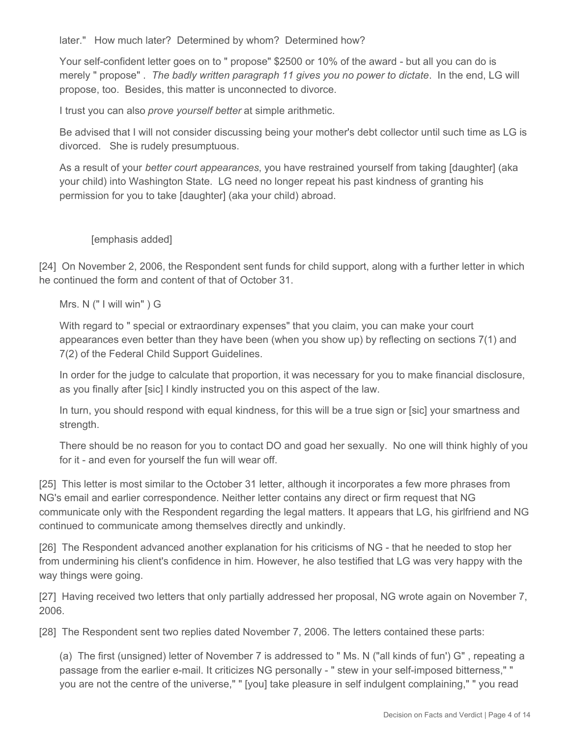later." How much later? Determined by whom? Determined how?

Your self-confident letter goes on to " propose" \$2500 or 10% of the award - but all you can do is merely " propose" . *The badly written paragraph 11 gives you no power to dictate*. In the end, LG will propose, too. Besides, this matter is unconnected to divorce.

I trust you can also *prove yourself better* at simple arithmetic.

Be advised that I will not consider discussing being your mother's debt collector until such time as LG is divorced. She is rudely presumptuous.

As a result of your *better court appearances*, you have restrained yourself from taking [daughter] (aka your child) into Washington State. LG need no longer repeat his past kindness of granting his permission for you to take [daughter] (aka your child) abroad.

[emphasis added]

[24] On November 2, 2006, the Respondent sent funds for child support, along with a further letter in which he continued the form and content of that of October 31.

Mrs. N (" I will win" ) G

With regard to " special or extraordinary expenses" that you claim, you can make your court appearances even better than they have been (when you show up) by reflecting on sections 7(1) and 7(2) of the Federal Child Support Guidelines.

In order for the judge to calculate that proportion, it was necessary for you to make financial disclosure, as you finally after [sic] I kindly instructed you on this aspect of the law.

In turn, you should respond with equal kindness, for this will be a true sign or [sic] your smartness and strength.

There should be no reason for you to contact DO and goad her sexually. No one will think highly of you for it - and even for yourself the fun will wear off.

[25] This letter is most similar to the October 31 letter, although it incorporates a few more phrases from NG's email and earlier correspondence. Neither letter contains any direct or firm request that NG communicate only with the Respondent regarding the legal matters. It appears that LG, his girlfriend and NG continued to communicate among themselves directly and unkindly.

[26] The Respondent advanced another explanation for his criticisms of NG - that he needed to stop her from undermining his client's confidence in him. However, he also testified that LG was very happy with the way things were going.

[27] Having received two letters that only partially addressed her proposal, NG wrote again on November 7, 2006.

[28] The Respondent sent two replies dated November 7, 2006. The letters contained these parts:

(a) The first (unsigned) letter of November 7 is addressed to " Ms. N ("all kinds of fun') G" , repeating a passage from the earlier e-mail. It criticizes NG personally - " stew in your self-imposed bitterness," " you are not the centre of the universe," " [you] take pleasure in self indulgent complaining," " you read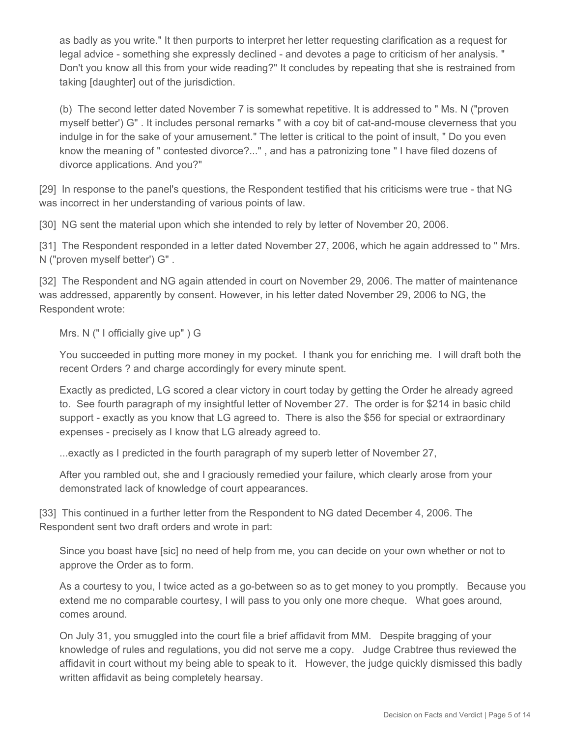as badly as you write." It then purports to interpret her letter requesting clarification as a request for legal advice - something she expressly declined - and devotes a page to criticism of her analysis. " Don't you know all this from your wide reading?" It concludes by repeating that she is restrained from taking [daughter] out of the jurisdiction.

(b) The second letter dated November 7 is somewhat repetitive. It is addressed to " Ms. N ("proven myself better') G" . It includes personal remarks " with a coy bit of cat-and-mouse cleverness that you indulge in for the sake of your amusement." The letter is critical to the point of insult, " Do you even know the meaning of " contested divorce?..." , and has a patronizing tone " I have filed dozens of divorce applications. And you?"

[29] In response to the panel's questions, the Respondent testified that his criticisms were true - that NG was incorrect in her understanding of various points of law.

[30] NG sent the material upon which she intended to rely by letter of November 20, 2006.

[31] The Respondent responded in a letter dated November 27, 2006, which he again addressed to " Mrs. N ("proven myself better') G" .

[32] The Respondent and NG again attended in court on November 29, 2006. The matter of maintenance was addressed, apparently by consent. However, in his letter dated November 29, 2006 to NG, the Respondent wrote:

Mrs. N (" I officially give up" ) G

You succeeded in putting more money in my pocket. I thank you for enriching me. I will draft both the recent Orders ? and charge accordingly for every minute spent.

Exactly as predicted, LG scored a clear victory in court today by getting the Order he already agreed to. See fourth paragraph of my insightful letter of November 27. The order is for \$214 in basic child support - exactly as you know that LG agreed to. There is also the \$56 for special or extraordinary expenses - precisely as I know that LG already agreed to.

...exactly as I predicted in the fourth paragraph of my superb letter of November 27,

After you rambled out, she and I graciously remedied your failure, which clearly arose from your demonstrated lack of knowledge of court appearances.

[33] This continued in a further letter from the Respondent to NG dated December 4, 2006. The Respondent sent two draft orders and wrote in part:

Since you boast have [sic] no need of help from me, you can decide on your own whether or not to approve the Order as to form.

As a courtesy to you, I twice acted as a go-between so as to get money to you promptly. Because you extend me no comparable courtesy, I will pass to you only one more cheque. What goes around, comes around.

On July 31, you smuggled into the court file a brief affidavit from MM. Despite bragging of your knowledge of rules and regulations, you did not serve me a copy. Judge Crabtree thus reviewed the affidavit in court without my being able to speak to it. However, the judge quickly dismissed this badly written affidavit as being completely hearsay.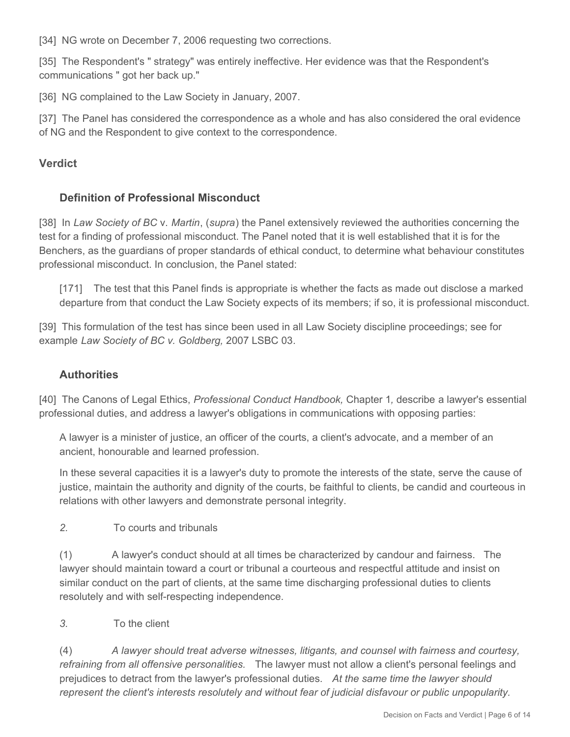[34] NG wrote on December 7, 2006 requesting two corrections.

[35] The Respondent's " strategy" was entirely ineffective. Her evidence was that the Respondent's communications " got her back up."

[36] NG complained to the Law Society in January, 2007.

[37] The Panel has considered the correspondence as a whole and has also considered the oral evidence of NG and the Respondent to give context to the correspondence.

## **Verdict**

## **Definition of Professional Misconduct**

[38] In *Law Society of BC* v. *Martin*, (*supra*) the Panel extensively reviewed the authorities concerning the test for a finding of professional misconduct. The Panel noted that it is well established that it is for the Benchers, as the guardians of proper standards of ethical conduct, to determine what behaviour constitutes professional misconduct. In conclusion, the Panel stated:

[171] The test that this Panel finds is appropriate is whether the facts as made out disclose a marked departure from that conduct the Law Society expects of its members; if so, it is professional misconduct.

[39] This formulation of the test has since been used in all Law Society discipline proceedings; see for example *Law Society of BC v. Goldberg,* 2007 LSBC 03*.*

#### **Authorities**

[40] The Canons of Legal Ethics, *Professional Conduct Handbook,* Chapter 1*,* describe a lawyer's essential professional duties, and address a lawyer's obligations in communications with opposing parties:

A lawyer is a minister of justice, an officer of the courts, a client's advocate, and a member of an ancient, honourable and learned profession.

In these several capacities it is a lawyer's duty to promote the interests of the state, serve the cause of justice, maintain the authority and dignity of the courts, be faithful to clients, be candid and courteous in relations with other lawyers and demonstrate personal integrity.

*2.* To courts and tribunals

(1) A lawyer's conduct should at all times be characterized by candour and fairness. The lawyer should maintain toward a court or tribunal a courteous and respectful attitude and insist on similar conduct on the part of clients, at the same time discharging professional duties to clients resolutely and with self-respecting independence.

*3.* To the client

(4) *A lawyer should treat adverse witnesses, litigants, and counsel with fairness and courtesy, refraining from all offensive personalities.* The lawyer must not allow a client's personal feelings and prejudices to detract from the lawyer's professional duties. *At the same time the lawyer should represent the client's interests resolutely and without fear of judicial disfavour or public unpopularity.*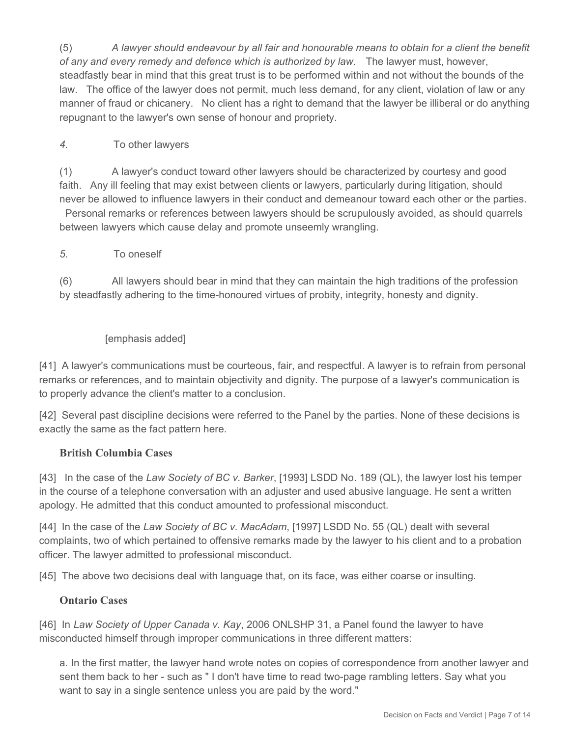(5) *A lawyer should endeavour by all fair and honourable means to obtain for a client the benefit of any and every remedy and defence which is authorized by law.* The lawyer must, however, steadfastly bear in mind that this great trust is to be performed within and not without the bounds of the law. The office of the lawyer does not permit, much less demand, for any client, violation of law or any manner of fraud or chicanery. No client has a right to demand that the lawyer be illiberal or do anything repugnant to the lawyer's own sense of honour and propriety.

## *4.* To other lawyers

(1) A lawyer's conduct toward other lawyers should be characterized by courtesy and good faith. Any ill feeling that may exist between clients or lawyers, particularly during litigation, should never be allowed to influence lawyers in their conduct and demeanour toward each other or the parties. Personal remarks or references between lawyers should be scrupulously avoided, as should quarrels between lawyers which cause delay and promote unseemly wrangling.

#### *5.* To oneself

(6) All lawyers should bear in mind that they can maintain the high traditions of the profession by steadfastly adhering to the time-honoured virtues of probity, integrity, honesty and dignity.

#### [emphasis added]

[41] A lawyer's communications must be courteous, fair, and respectful. A lawyer is to refrain from personal remarks or references, and to maintain objectivity and dignity. The purpose of a lawyer's communication is to properly advance the client's matter to a conclusion.

[42] Several past discipline decisions were referred to the Panel by the parties. None of these decisions is exactly the same as the fact pattern here.

#### **British Columbia Cases**

[43] In the case of the *Law Society of BC v. Barker*, [1993] LSDD No. 189 (QL), the lawyer lost his temper in the course of a telephone conversation with an adjuster and used abusive language. He sent a written apology. He admitted that this conduct amounted to professional misconduct.

[44] In the case of the *Law Society of BC v. MacAdam*, [1997] LSDD No. 55 (QL) dealt with several complaints, two of which pertained to offensive remarks made by the lawyer to his client and to a probation officer. The lawyer admitted to professional misconduct.

[45] The above two decisions deal with language that, on its face, was either coarse or insulting.

#### **Ontario Cases**

[46] In *Law Society of Upper Canada v. Kay*, 2006 ONLSHP 31, a Panel found the lawyer to have misconducted himself through improper communications in three different matters:

a. In the first matter, the lawyer hand wrote notes on copies of correspondence from another lawyer and sent them back to her - such as " I don't have time to read two-page rambling letters. Say what you want to say in a single sentence unless you are paid by the word."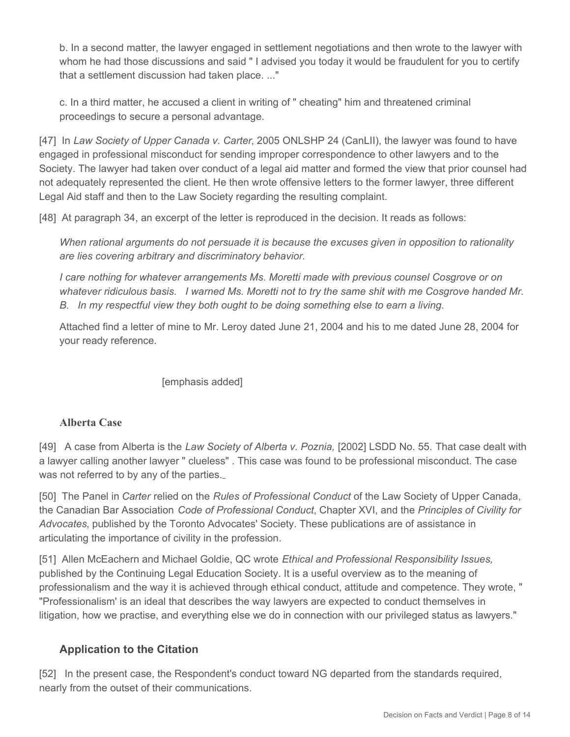b. In a second matter, the lawyer engaged in settlement negotiations and then wrote to the lawyer with whom he had those discussions and said " I advised you today it would be fraudulent for you to certify that a settlement discussion had taken place. ..."

c. In a third matter, he accused a client in writing of " cheating" him and threatened criminal proceedings to secure a personal advantage.

[47] In *Law Society of Upper Canada v. Carter*, 2005 ONLSHP 24 (CanLII), the lawyer was found to have engaged in professional misconduct for sending improper correspondence to other lawyers and to the Society. The lawyer had taken over conduct of a legal aid matter and formed the view that prior counsel had not adequately represented the client. He then wrote offensive letters to the former lawyer, three different Legal Aid staff and then to the Law Society regarding the resulting complaint.

[48] At paragraph 34, an excerpt of the letter is reproduced in the decision. It reads as follows:

*When rational arguments do not persuade it is because the excuses given in opposition to rationality are lies covering arbitrary and discriminatory behavior.*

*I care nothing for whatever arrangements Ms. Moretti made with previous counsel Cosgrove or on whatever ridiculous basis. I warned Ms. Moretti not to try the same shit with me Cosgrove handed Mr. B.* In my respectful view they both ought to be doing something else to earn a living.

Attached find a letter of mine to Mr. Leroy dated June 21, 2004 and his to me dated June 28, 2004 for your ready reference.

[emphasis added]

#### **Alberta Case**

[49] A case from Alberta is the *Law Society of Alberta v. Poznia,* [2002] LSDD No. 55. That case dealt with a lawyer calling another lawyer " clueless" . This case was found to be professional misconduct. The case was not referred to by any of the parties.

[50] The Panel in *Carter* relied on the *Rules of Professional Conduct* of the Law Society of Upper Canada, the Canadian Bar Association *Code of Professional Conduct*, Chapter XVI, and the *Principles of Civility for Advocates*, published by the Toronto Advocates' Society. These publications are of assistance in articulating the importance of civility in the profession.

[51] Allen McEachern and Michael Goldie, QC wrote *Ethical and Professional Responsibility Issues,*  published by the Continuing Legal Education Society. It is a useful overview as to the meaning of professionalism and the way it is achieved through ethical conduct, attitude and competence. They wrote, " "Professionalism' is an ideal that describes the way lawyers are expected to conduct themselves in litigation, how we practise, and everything else we do in connection with our privileged status as lawyers."

## **Application to the Citation**

[52] In the present case, the Respondent's conduct toward NG departed from the standards required, nearly from the outset of their communications.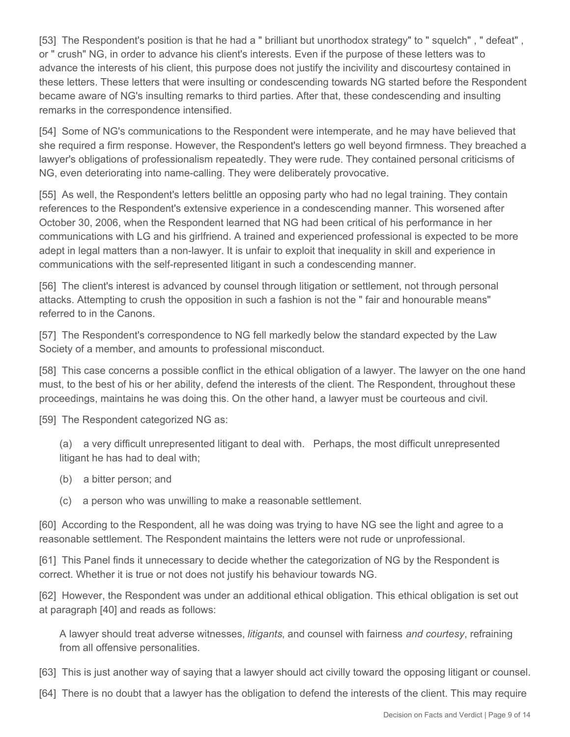[53] The Respondent's position is that he had a " brilliant but unorthodox strategy" to " squelch" , " defeat" , or " crush" NG, in order to advance his client's interests. Even if the purpose of these letters was to advance the interests of his client, this purpose does not justify the incivility and discourtesy contained in these letters. These letters that were insulting or condescending towards NG started before the Respondent became aware of NG's insulting remarks to third parties. After that, these condescending and insulting remarks in the correspondence intensified.

[54] Some of NG's communications to the Respondent were intemperate, and he may have believed that she required a firm response. However, the Respondent's letters go well beyond firmness. They breached a lawyer's obligations of professionalism repeatedly. They were rude. They contained personal criticisms of NG, even deteriorating into name-calling. They were deliberately provocative.

[55] As well, the Respondent's letters belittle an opposing party who had no legal training. They contain references to the Respondent's extensive experience in a condescending manner. This worsened after October 30, 2006, when the Respondent learned that NG had been critical of his performance in her communications with LG and his girlfriend. A trained and experienced professional is expected to be more adept in legal matters than a non-lawyer. It is unfair to exploit that inequality in skill and experience in communications with the self-represented litigant in such a condescending manner.

[56] The client's interest is advanced by counsel through litigation or settlement, not through personal attacks. Attempting to crush the opposition in such a fashion is not the " fair and honourable means" referred to in the Canons.

[57] The Respondent's correspondence to NG fell markedly below the standard expected by the Law Society of a member, and amounts to professional misconduct.

[58] This case concerns a possible conflict in the ethical obligation of a lawyer. The lawyer on the one hand must, to the best of his or her ability, defend the interests of the client. The Respondent, throughout these proceedings, maintains he was doing this. On the other hand, a lawyer must be courteous and civil.

[59] The Respondent categorized NG as:

(a) a very difficult unrepresented litigant to deal with. Perhaps, the most difficult unrepresented litigant he has had to deal with;

- (b) a bitter person; and
- (c) a person who was unwilling to make a reasonable settlement.

[60] According to the Respondent, all he was doing was trying to have NG see the light and agree to a reasonable settlement. The Respondent maintains the letters were not rude or unprofessional.

[61] This Panel finds it unnecessary to decide whether the categorization of NG by the Respondent is correct. Whether it is true or not does not justify his behaviour towards NG.

[62] However, the Respondent was under an additional ethical obligation. This ethical obligation is set out at paragraph [40] and reads as follows:

A lawyer should treat adverse witnesses, *litigants*, and counsel with fairness *and courtesy*, refraining from all offensive personalities.

- [63] This is just another way of saying that a lawyer should act civilly toward the opposing litigant or counsel.
- [64] There is no doubt that a lawyer has the obligation to defend the interests of the client. This may require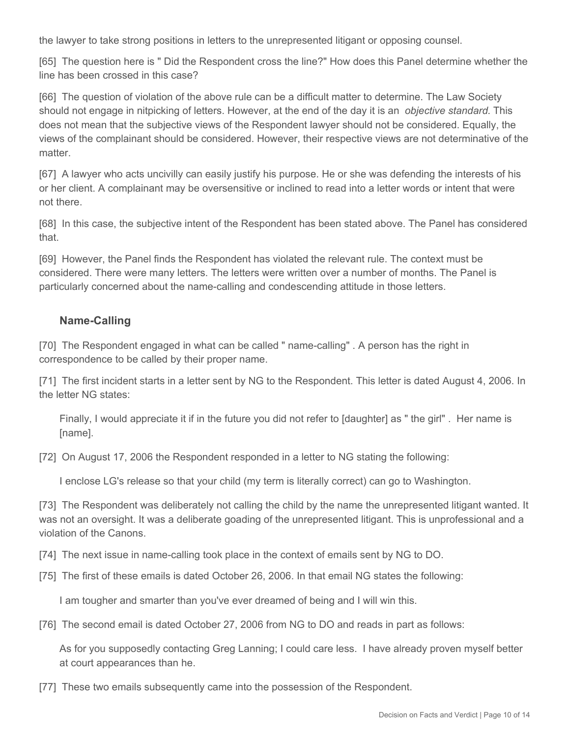the lawyer to take strong positions in letters to the unrepresented litigant or opposing counsel.

[65] The question here is " Did the Respondent cross the line?" How does this Panel determine whether the line has been crossed in this case?

[66] The question of violation of the above rule can be a difficult matter to determine. The Law Society should not engage in nitpicking of letters. However, at the end of the day it is an *objective standard*. This does not mean that the subjective views of the Respondent lawyer should not be considered. Equally, the views of the complainant should be considered. However, their respective views are not determinative of the matter.

[67] A lawyer who acts uncivilly can easily justify his purpose. He or she was defending the interests of his or her client. A complainant may be oversensitive or inclined to read into a letter words or intent that were not there.

[68] In this case, the subjective intent of the Respondent has been stated above. The Panel has considered that.

[69] However, the Panel finds the Respondent has violated the relevant rule. The context must be considered. There were many letters. The letters were written over a number of months. The Panel is particularly concerned about the name-calling and condescending attitude in those letters.

## **Name-Calling**

[70] The Respondent engaged in what can be called " name-calling" . A person has the right in correspondence to be called by their proper name.

[71] The first incident starts in a letter sent by NG to the Respondent. This letter is dated August 4, 2006. In the letter NG states:

Finally, I would appreciate it if in the future you did not refer to [daughter] as " the girl" . Her name is [name].

[72] On August 17, 2006 the Respondent responded in a letter to NG stating the following:

I enclose LG's release so that your child (my term is literally correct) can go to Washington.

[73] The Respondent was deliberately not calling the child by the name the unrepresented litigant wanted. It was not an oversight. It was a deliberate goading of the unrepresented litigant. This is unprofessional and a violation of the Canons.

[74] The next issue in name-calling took place in the context of emails sent by NG to DO.

[75] The first of these emails is dated October 26, 2006. In that email NG states the following:

I am tougher and smarter than you've ever dreamed of being and I will win this.

[76] The second email is dated October 27, 2006 from NG to DO and reads in part as follows:

As for you supposedly contacting Greg Lanning; I could care less. I have already proven myself better at court appearances than he.

[77] These two emails subsequently came into the possession of the Respondent.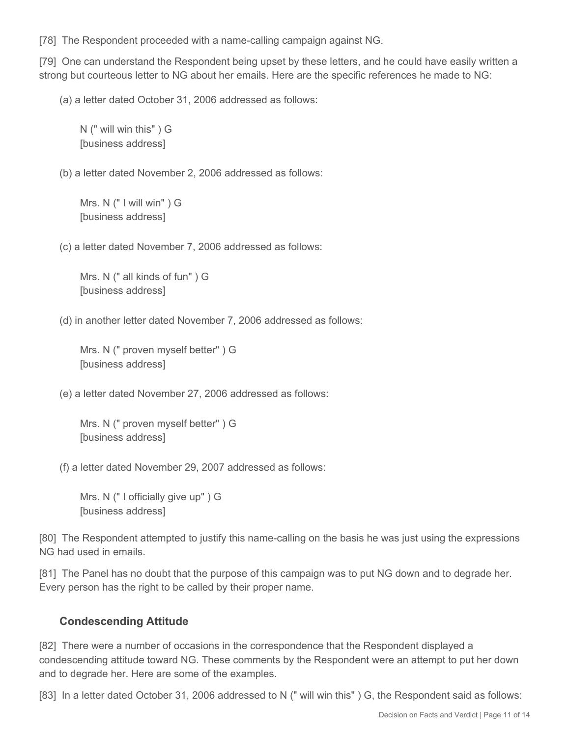[78] The Respondent proceeded with a name-calling campaign against NG.

[79] One can understand the Respondent being upset by these letters, and he could have easily written a strong but courteous letter to NG about her emails. Here are the specific references he made to NG:

(a) a letter dated October 31, 2006 addressed as follows:

N (" will win this" ) G [business address]

(b) a letter dated November 2, 2006 addressed as follows:

Mrs. N (" I will win" ) G [business address]

(c) a letter dated November 7, 2006 addressed as follows:

Mrs. N (" all kinds of fun" ) G [business address]

(d) in another letter dated November 7, 2006 addressed as follows:

Mrs. N (" proven myself better" ) G [business address]

(e) a letter dated November 27, 2006 addressed as follows:

Mrs. N (" proven myself better" ) G [business address]

(f) a letter dated November 29, 2007 addressed as follows:

Mrs. N (" I officially give up" ) G [business address]

[80] The Respondent attempted to justify this name-calling on the basis he was just using the expressions NG had used in emails.

[81] The Panel has no doubt that the purpose of this campaign was to put NG down and to degrade her. Every person has the right to be called by their proper name.

#### **Condescending Attitude**

[82] There were a number of occasions in the correspondence that the Respondent displayed a condescending attitude toward NG. These comments by the Respondent were an attempt to put her down and to degrade her. Here are some of the examples.

[83] In a letter dated October 31, 2006 addressed to N (" will win this") G, the Respondent said as follows: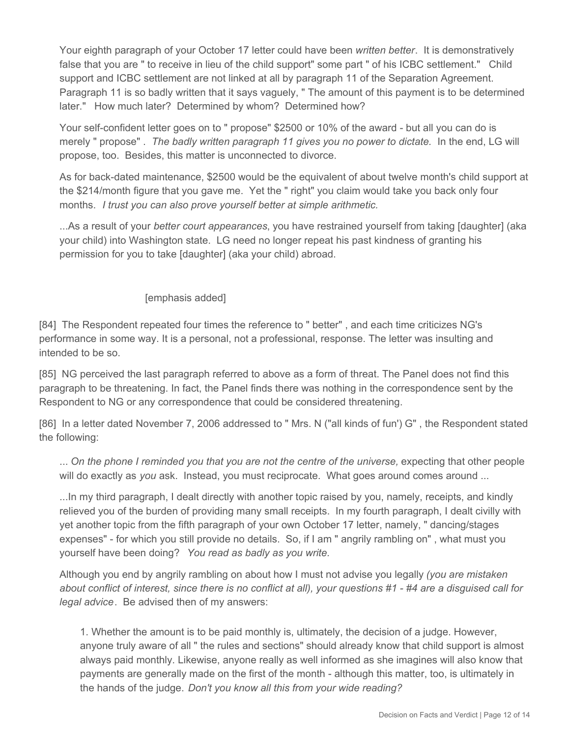Your eighth paragraph of your October 17 letter could have been *written better*. It is demonstratively false that you are " to receive in lieu of the child support" some part " of his ICBC settlement." Child support and ICBC settlement are not linked at all by paragraph 11 of the Separation Agreement. Paragraph 11 is so badly written that it says vaguely, " The amount of this payment is to be determined later." How much later? Determined by whom? Determined how?

Your self-confident letter goes on to " propose" \$2500 or 10% of the award - but all you can do is merely " propose" . *The badly written paragraph 11 gives you no power to dictate.* In the end, LG will propose, too. Besides, this matter is unconnected to divorce.

As for back-dated maintenance, \$2500 would be the equivalent of about twelve month's child support at the \$214/month figure that you gave me. Yet the " right" you claim would take you back only four months. *I trust you can also prove yourself better at simple arithmetic.*

...As a result of your *better court appearances*, you have restrained yourself from taking [daughter] (aka your child) into Washington state. LG need no longer repeat his past kindness of granting his permission for you to take [daughter] (aka your child) abroad.

#### [emphasis added]

[84] The Respondent repeated four times the reference to " better" , and each time criticizes NG's performance in some way. It is a personal, not a professional, response. The letter was insulting and intended to be so.

[85] NG perceived the last paragraph referred to above as a form of threat. The Panel does not find this paragraph to be threatening. In fact, the Panel finds there was nothing in the correspondence sent by the Respondent to NG or any correspondence that could be considered threatening.

[86] In a letter dated November 7, 2006 addressed to " Mrs. N ("all kinds of fun') G" , the Respondent stated the following:

... *On the phone I reminded you that you are not the centre of the universe,* expecting that other people will do exactly as *you* ask. Instead, you must reciprocate. What goes around comes around ...

...In my third paragraph, I dealt directly with another topic raised by you, namely, receipts, and kindly relieved you of the burden of providing many small receipts. In my fourth paragraph, I dealt civilly with yet another topic from the fifth paragraph of your own October 17 letter, namely, " dancing/stages expenses" - for which you still provide no details. So, if I am " angrily rambling on" , what must you yourself have been doing? *You read as badly as you write.*

Although you end by angrily rambling on about how I must not advise you legally *(you are mistaken about conflict of interest, since there is no conflict at all), your questions #1 - #4 are a disguised call for legal advice*. Be advised then of my answers:

1. Whether the amount is to be paid monthly is, ultimately, the decision of a judge. However, anyone truly aware of all " the rules and sections" should already know that child support is almost always paid monthly. Likewise, anyone really as well informed as she imagines will also know that payments are generally made on the first of the month - although this matter, too, is ultimately in the hands of the judge. *Don't you know all this from your wide reading?*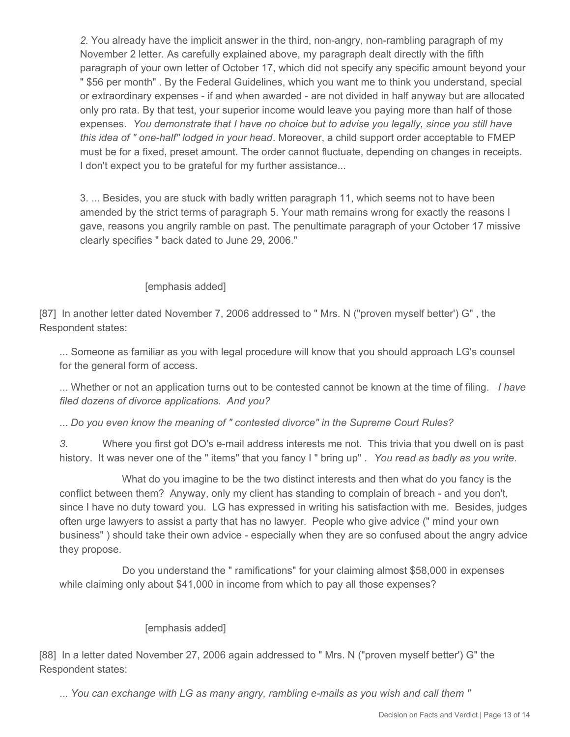*2.* You already have the implicit answer in the third, non-angry, non-rambling paragraph of my November 2 letter. As carefully explained above, my paragraph dealt directly with the fifth paragraph of your own letter of October 17, which did not specify any specific amount beyond your " \$56 per month" . By the Federal Guidelines, which you want me to think you understand, special or extraordinary expenses - if and when awarded - are not divided in half anyway but are allocated only pro rata. By that test, your superior income would leave you paying more than half of those expenses. *You demonstrate that I have no choice but to advise you legally, since you still have this idea of " one-half" lodged in your head*. Moreover, a child support order acceptable to FMEP must be for a fixed, preset amount. The order cannot fluctuate, depending on changes in receipts. I don't expect you to be grateful for my further assistance...

3. ... Besides, you are stuck with badly written paragraph 11, which seems not to have been amended by the strict terms of paragraph 5. Your math remains wrong for exactly the reasons I gave, reasons you angrily ramble on past. The penultimate paragraph of your October 17 missive clearly specifies " back dated to June 29, 2006."

#### [emphasis added]

[87] In another letter dated November 7, 2006 addressed to " Mrs. N ("proven myself better') G", the Respondent states:

... Someone as familiar as you with legal procedure will know that you should approach LG's counsel for the general form of access.

... Whether or not an application turns out to be contested cannot be known at the time of filing. *I have filed dozens of divorce applications. And you?*

... *Do you even know the meaning of " contested divorce" in the Supreme Court Rules?*

*3.* Where you first got DO's e-mail address interests me not. This trivia that you dwell on is past history. It was never one of the " items" that you fancy I " bring up" . *You read as badly as you write.*

 What do you imagine to be the two distinct interests and then what do you fancy is the conflict between them? Anyway, only my client has standing to complain of breach - and you don't, since I have no duty toward you. LG has expressed in writing his satisfaction with me. Besides, judges often urge lawyers to assist a party that has no lawyer. People who give advice (" mind your own business" ) should take their own advice - especially when they are so confused about the angry advice they propose.

 Do you understand the " ramifications" for your claiming almost \$58,000 in expenses while claiming only about \$41,000 in income from which to pay all those expenses?

#### [emphasis added]

[88] In a letter dated November 27, 2006 again addressed to " Mrs. N ("proven myself better') G" the Respondent states:

... *You can exchange with LG as many angry, rambling e-mails as you wish and call them "*